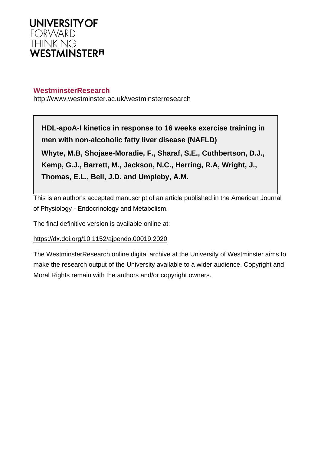

# **WestminsterResearch**

http://www.westminster.ac.uk/westminsterresearch

**HDL-apoA-I kinetics in response to 16 weeks exercise training in men with non-alcoholic fatty liver disease (NAFLD) Whyte, M.B, Shojaee-Moradie, F., Sharaf, S.E., Cuthbertson, D.J., Kemp, G.J., Barrett, M., Jackson, N.C., Herring, R.A, Wright, J., Thomas, E.L., Bell, J.D. and Umpleby, A.M.**

This is an author's accepted manuscript of an article published in the American Journal of Physiology - Endocrinology and Metabolism.

The final definitive version is available online at:

## <https://dx.doi.org/10.1152/ajpendo.00019.2020>

The WestminsterResearch online digital archive at the University of Westminster aims to make the research output of the University available to a wider audience. Copyright and Moral Rights remain with the authors and/or copyright owners.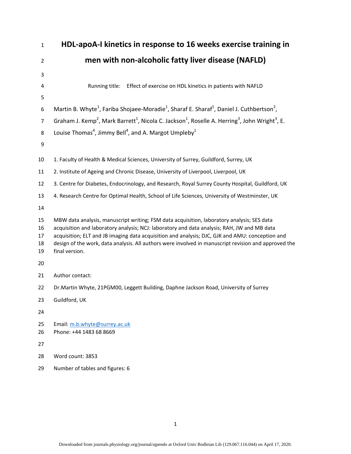| $\mathbf{1}$               | HDL-apoA-I kinetics in response to 16 weeks exercise training in                                                                                                                                                                                                                                                                                                                                                       |
|----------------------------|------------------------------------------------------------------------------------------------------------------------------------------------------------------------------------------------------------------------------------------------------------------------------------------------------------------------------------------------------------------------------------------------------------------------|
| $\overline{2}$             | men with non-alcoholic fatty liver disease (NAFLD)                                                                                                                                                                                                                                                                                                                                                                     |
| 3                          |                                                                                                                                                                                                                                                                                                                                                                                                                        |
| 4                          | Effect of exercise on HDL kinetics in patients with NAFLD<br>Running title:                                                                                                                                                                                                                                                                                                                                            |
| 5                          |                                                                                                                                                                                                                                                                                                                                                                                                                        |
| 6                          | Martin B. Whyte <sup>1</sup> , Fariba Shojaee-Moradie <sup>1</sup> , Sharaf E. Sharaf <sup>1</sup> , Daniel J. Cuthbertson <sup>2</sup> ,                                                                                                                                                                                                                                                                              |
| $\overline{7}$             | Graham J. Kemp <sup>2</sup> , Mark Barrett <sup>1</sup> , Nicola C. Jackson <sup>1</sup> , Roselle A. Herring <sup>3</sup> , John Wright <sup>3</sup> , E.                                                                                                                                                                                                                                                             |
| 8                          | Louise Thomas <sup>4</sup> , Jimmy Bell <sup>4</sup> , and A. Margot Umpleby <sup>1</sup>                                                                                                                                                                                                                                                                                                                              |
| 9                          |                                                                                                                                                                                                                                                                                                                                                                                                                        |
| 10                         | 1. Faculty of Health & Medical Sciences, University of Surrey, Guildford, Surrey, UK                                                                                                                                                                                                                                                                                                                                   |
| 11                         | 2. Institute of Ageing and Chronic Disease, University of Liverpool, Liverpool, UK                                                                                                                                                                                                                                                                                                                                     |
| 12                         | 3. Centre for Diabetes, Endocrinology, and Research, Royal Surrey County Hospital, Guildford, UK                                                                                                                                                                                                                                                                                                                       |
| 13                         | 4. Research Centre for Optimal Health, School of Life Sciences, University of Westminster, UK                                                                                                                                                                                                                                                                                                                          |
| 14                         |                                                                                                                                                                                                                                                                                                                                                                                                                        |
| 15<br>16<br>17<br>18<br>19 | MBW data analysis, manuscript writing; FSM data acquisition, laboratory analysis; SES data<br>acquisition and laboratory analysis; NCJ: laboratory and data analysis; RAH, JW and MB data<br>acquisition; ELT and JB imaging data acquisition and analysis; DJC, GJK and AMU: conception and<br>design of the work, data analysis. All authors were involved in manuscript revision and approved the<br>final version. |
| 20                         |                                                                                                                                                                                                                                                                                                                                                                                                                        |
| 21                         | Author contact:                                                                                                                                                                                                                                                                                                                                                                                                        |
| 22                         | Dr. Martin Whyte, 21PGM00, Leggett Building, Daphne Jackson Road, University of Surrey                                                                                                                                                                                                                                                                                                                                 |
| 23                         | Guildford, UK                                                                                                                                                                                                                                                                                                                                                                                                          |
| 24                         |                                                                                                                                                                                                                                                                                                                                                                                                                        |
| 25<br>26                   | Email: m.b.whyte@surrey.ac.uk<br>Phone: +44 1483 68 8669                                                                                                                                                                                                                                                                                                                                                               |
| 27                         |                                                                                                                                                                                                                                                                                                                                                                                                                        |
| 28                         | Word count: 3853                                                                                                                                                                                                                                                                                                                                                                                                       |
| 29                         | Number of tables and figures: 6                                                                                                                                                                                                                                                                                                                                                                                        |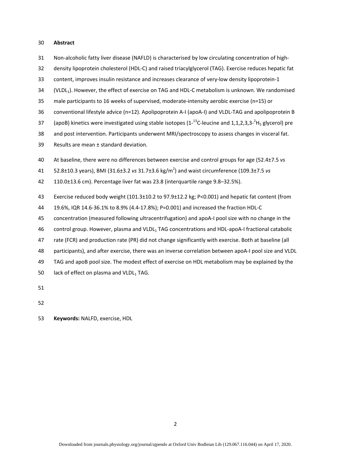#### 30 **Abstract**

- 31 Non-alcoholic fatty liver disease (NAFLD) is characterised by low circulating concentration of high-
- 32 density lipoprotein cholesterol (HDL-C) and raised triacylglycerol (TAG). Exercise reduces hepatic fat
- 33 content, improves insulin resistance and increases clearance of very-low density lipoprotein-1
- 34 (VLDL<sub>1</sub>). However, the effect of exercise on TAG and HDL-C metabolism is unknown. We randomised
- 35 male participants to 16 weeks of supervised, moderate-intensity aerobic exercise (n=15) or
- 36 conventional lifestyle advice (n=12). Apolipoprotein A-I (apoA-I) and VLDL-TAG and apolipoprotein B
- 37 (apoB) kinetics were investigated using stable isotopes  $(1^{-13}C$ -leucine and 1,1,2,3,3- $^2H_5$  glycerol) pre
- 38 and post intervention. Participants underwent MRI/spectroscopy to assess changes in visceral fat.
- 39 Results are mean ± standard deviation.
- 40 At baseline, there were no differences between exercise and control groups for age (52.4±7.5 *vs*
- 52.8±10.3 years), BMI (31.6±3.2 *vs* 31.7±3.6 kg/m2 41 ) and waist circumference (109.3±7.5 *vs*
- 42 110.0±13.6 cm). Percentage liver fat was 23.8 (interquartile range 9.8–32.5%).
- 43 Exercise reduced body weight (101.3±10.2 to 97.9±12.2 kg; P<0.001) and hepatic fat content (from
- 44 19.6%, IQR 14.6-36.1% to 8.9% (4.4-17.8%); P=0.001) and increased the fraction HDL-C
- 45 concentration (measured following ultracentrifugation) and apoA-I pool size with no change in the
- 46 control group. However, plasma and VLDL<sub>1</sub> TAG concentrations and HDL-apoA-I fractional catabolic
- 47 rate (FCR) and production rate (PR) did not change significantly with exercise. Both at baseline (all
- 48 participants), and after exercise, there was an inverse correlation between apoA-I pool size and VLDL
- 49 TAG and apoB pool size. The modest effect of exercise on HDL metabolism may be explained by the
- 50 lack of effect on plasma and VLDL $_1$  TAG.
- 51
- 52
- 53 **Keywords:** NALFD, exercise, HDL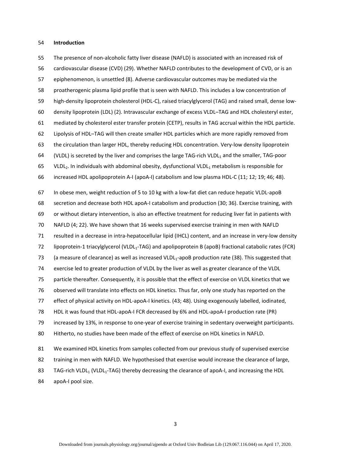#### 54 **Introduction**

55 The presence of non-alcoholic fatty liver disease (NAFLD) is associated with an increased risk of 56 cardiovascular disease (CVD) (29). Whether NAFLD contributes to the development of CVD, or is an 57 epiphenomenon, is unsettled (8). Adverse cardiovascular outcomes may be mediated via the 58 proatherogenic plasma lipid profile that is seen with NAFLD. This includes a low concentration of 59 high-density lipoprotein cholesterol (HDL-C), raised triacylglycerol (TAG) and raised small, dense low-60 density lipoprotein (LDL) (2). Intravascular exchange of excess VLDL–TAG and HDL cholesteryl ester, 61 mediated by cholesterol ester transfer protein (CETP), results in TAG accrual within the HDL particle. 62 Lipolysis of HDL–TAG will then create smaller HDL particles which are more rapidly removed from 63 the circulation than larger HDL, thereby reducing HDL concentration. Very-low density lipoprotein 64 (VLDL) is secreted by the liver and comprises the large TAG-rich VLDL<sub>1</sub> and the smaller, TAG-poor 65 VLDL<sub>2</sub>. In individuals with abdominal obesity, dysfunctional VLDL<sub>1</sub> metabolism is responsible for 66 increased HDL apolipoprotein A-I (apoA-I) catabolism and low plasma HDL-C (11; 12; 19; 46; 48). 67 In obese men, weight reduction of 5 to 10 kg with a low-fat diet can reduce hepatic VLDL-apoB 68 secretion and decrease both HDL apoA-I catabolism and production (30; 36). Exercise training, with 69 or without dietary intervention, is also an effective treatment for reducing liver fat in patients with 70 NAFLD (4; 22). We have shown that 16 weeks supervised exercise training in men with NAFLD 71 resulted in a decrease in intra-hepatocellular lipid (IHCL) content, and an increase in very-low density 72 lipoprotein-1 triacylglycerol (VLDL<sub>1</sub>-TAG) and apolipoprotein B (apoB) fractional catabolic rates (FCR) 73 (a measure of clearance) as well as increased VLDL<sub>1</sub>-apoB production rate (38). This suggested that 74 exercise led to greater production of VLDL by the liver as well as greater clearance of the VLDL 75 particle thereafter. Consequently, it is possible that the effect of exercise on VLDL kinetics that we 76 observed will translate into effects on HDL kinetics. Thus far, only one study has reported on the 77 effect of physical activity on HDL-apoA-I kinetics. (43; 48). Using exogenously labelled, iodinated, 78 HDL it was found that HDL-apoA-I FCR decreased by 6% and HDL-apoA-I production rate (PR) 79 increased by 13%, in response to one-year of exercise training in sedentary overweight participants. 80 Hitherto, no studies have been made of the effect of exercise on HDL kinetics in NAFLD. 81 We examined HDL kinetics from samples collected from our previous study of supervised exercise 82 training in men with NAFLD. We hypothesised that exercise would increase the clearance of large,

83 TAG-rich VLDL<sub>1</sub> (VLDL<sub>1</sub>-TAG) thereby decreasing the clearance of apoA-I, and increasing the HDL

84 apoA-I pool size.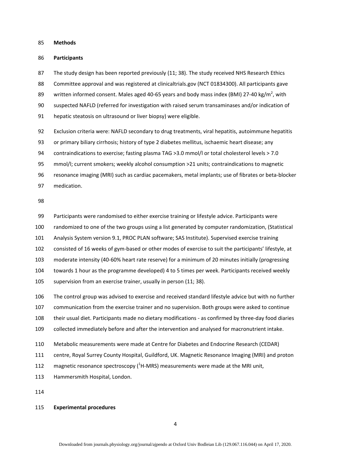85 **Methods** 

#### 86 **Participants**

87 The study design has been reported previously (11; 38). The study received NHS Research Ethics 88 Committee approval and was registered at clinicaltrials.gov (NCT 01834300). All participants gave 89 written informed consent. Males aged 40-65 years and body mass index (BMI) 27-40 kg/m<sup>2</sup>, with 90 suspected NAFLD (referred for investigation with raised serum transaminases and/or indication of 91 hepatic steatosis on ultrasound or liver biopsy) were eligible.

92 Exclusion criteria were: NAFLD secondary to drug treatments, viral hepatitis, autoimmune hepatitis

93 or primary biliary cirrhosis; history of type 2 diabetes mellitus, ischaemic heart disease; any

94 contraindications to exercise; fasting plasma TAG >3.0 mmol/l or total cholesterol levels > 7.0

95 mmol/l; current smokers; weekly alcohol consumption >21 units; contraindications to magnetic

96 resonance imaging (MRI) such as cardiac pacemakers, metal implants; use of fibrates or beta-blocker

97 medication.

98

99 Participants were randomised to either exercise training or lifestyle advice. Participants were 100 randomized to one of the two groups using a list generated by computer randomization, (Statistical

101 Analysis System version 9.1, PROC PLAN software; SAS Institute). Supervised exercise training

102 consisted of 16 weeks of gym-based or other modes of exercise to suit the participants' lifestyle, at

103 moderate intensity (40-60% heart rate reserve) for a minimum of 20 minutes initially (progressing

104 towards 1 hour as the programme developed) 4 to 5 times per week. Participants received weekly

105 supervision from an exercise trainer, usually in person (11; 38).

106 The control group was advised to exercise and received standard lifestyle advice but with no further

107 communication from the exercise trainer and no supervision. Both groups were asked to continue

108 their usual diet. Participants made no dietary modifications - as confirmed by three-day food diaries

109 collected immediately before and after the intervention and analysed for macronutrient intake.

110 Metabolic measurements were made at Centre for Diabetes and Endocrine Research (CEDAR)

111 centre, Royal Surrey County Hospital, Guildford, UK. Magnetic Resonance Imaging (MRI) and proton

112 magnetic resonance spectroscopy  $(1 + MRS)$  measurements were made at the MRI unit,

113 Hammersmith Hospital, London.

114

## 115 **Experimental procedures**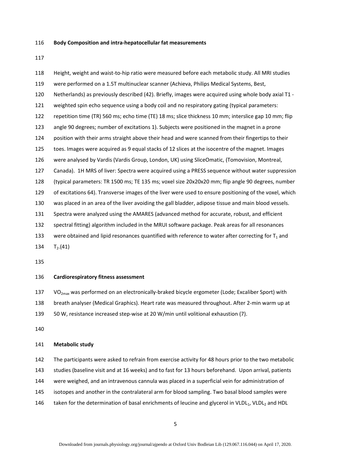#### 116 **Body Composition and intra-hepatocellular fat measurements**

117

118 Height, weight and waist-to-hip ratio were measured before each metabolic study. All MRI studies 119 were performed on a 1.5T multinuclear scanner (Achieva, Philips Medical Systems, Best, 120 Netherlands) as previously described (42). Briefly, images were acquired using whole body axial T1 - 121 weighted spin echo sequence using a body coil and no respiratory gating (typical parameters: 122 repetition time (TR) 560 ms; echo time (TE) 18 ms; slice thickness 10 mm; interslice gap 10 mm; flip 123 angle 90 degrees; number of excitations 1). Subjects were positioned in the magnet in a prone 124 position with their arms straight above their head and were scanned from their fingertips to their 125 toes. Images were acquired as 9 equal stacks of 12 slices at the isocentre of the magnet. Images 126 were analysed by Vardis (Vardis Group, London, UK) using SliceOmatic, (Tomovision, Montreal, 127 Canada). 1H MRS of liver: Spectra were acquired using a PRESS sequence without water suppression 128 (typical parameters: TR 1500 ms; TE 135 ms; voxel size 20x20x20 mm; flip angle 90 degrees, number 129 of excitations 64). Transverse images of the liver were used to ensure positioning of the voxel, which 130 was placed in an area of the liver avoiding the gall bladder, adipose tissue and main blood vessels. 131 Spectra were analyzed using the AMARES (advanced method for accurate, robust, and efficient 132 spectral fitting) algorithm included in the MRUI software package. Peak areas for all resonances 133 were obtained and lipid resonances quantified with reference to water after correcting for  $T_1$  and 134  $T_2$ .(41)

135

## 136 **Cardiorespiratory fitness assessment**

137 VO<sub>2max</sub> was performed on an electronically-braked bicycle ergometer (Lode; Excaliber Sport) with

138 breath analyser (Medical Graphics). Heart rate was measured throughout. After 2-min warm up at

139 50 W, resistance increased step-wise at 20 W/min until volitional exhaustion (7).

140

#### 141 **Metabolic study**

142 The participants were asked to refrain from exercise activity for 48 hours prior to the two metabolic 143 studies (baseline visit and at 16 weeks) and to fast for 13 hours beforehand. Upon arrival, patients 144 were weighed, and an intravenous cannula was placed in a superficial vein for administration of 145 isotopes and another in the contralateral arm for blood sampling. Two basal blood samples were 146 taken for the determination of basal enrichments of leucine and glycerol in VLDL<sub>1</sub>, VLDL<sub>2</sub> and HDL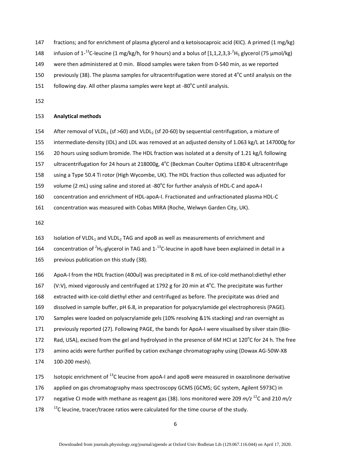- 147 fractions; and for enrichment of plasma glycerol and  $\alpha$  ketoisocaproic acid (KIC). A primed (1 mg/kg)
- 148 infusion of 1<sup>-13</sup>C-leucine (1 mg/kg/h, for 9 hours) and a bolus of [1,1,2,3,3<sup>-2</sup>H<sub>5</sub> glycerol (75  $\mu$ mol/kg)
- 149 were then administered at 0 min. Blood samples were taken from 0-540 min, as we reported
- 150 previously (38). The plasma samples for ultracentrifugation were stored at  $4^{\circ}$ C until analysis on the
- 151 following day. All other plasma samples were kept at  $-80^{\circ}$ C until analysis.
- 152

## 153 **Analytical methods**

- 154 After removal of VLDL<sub>1</sub> (sf >60) and VLDL<sub>2</sub> (sf 20-60) by sequential centrifugation, a mixture of
- 155 intermediate-density (IDL) and LDL was removed at an adjusted density of 1.063 kg/L at 147000g for
- 156 20 hours using sodium bromide. The HDL fraction was isolated at a density of 1.21 kg/L following
- 157 ultracentrifugation for 24 hours at 218000g, 4°C (Beckman Coulter Optima LE80-K ultracentrifuge
- 158 using a Type 50.4 Ti rotor (High Wycombe, UK). The HDL fraction thus collected was adjusted for
- 159 volume (2 mL) using saline and stored at -80 $^{\circ}$ C for further analysis of HDL-C and apoA-I
- 160 concentration and enrichment of HDL-apoA-I. Fractionated and unfractionated plasma HDL-C
- 161 concentration was measured with Cobas MIRA (Roche, Welwyn Garden City, UK).

- 163 Isolation of VLDL<sub>1</sub> and VLDL<sub>2</sub> TAG and apoB as well as measurements of enrichment and
- 164 concentration of <sup>2</sup>H<sub>5</sub>-glycerol in TAG and 1-<sup>13</sup>C-leucine in apoB have been explained in detail in a
- 165 previous publication on this study (38).
- 166 ApoA-I from the HDL fraction (400ul) was precipitated in 8 mL of ice-cold methanol:diethyl ether
- 167 (V:V), mixed vigorously and centrifuged at 1792 g for 20 min at  $4^{\circ}$ C. The precipitate was further
- 168 extracted with ice-cold diethyl ether and centrifuged as before. The precipitate was dried and
- 169 dissolved in sample buffer, pH 6.8, in preparation for polyacrylamide gel electrophoresis (PAGE).
- 170 Samples were loaded on polyacrylamide gels (10% resolving &1% stacking) and ran overnight as
- 171 previously reported (27). Following PAGE, the bands for ApoA-I were visualised by silver stain (Bio-
- 172 Rad, USA), excised from the gel and hydrolysed in the presence of 6M HCl at 120°C for 24 h. The free
- 173 amino acids were further purified by cation exchange chromatography using (Dowax AG-50W-X8 174 100-200 mesh).
- 175 Isotopic enrichment of  $^{13}$ C leucine from apoA-I and apoB were measured in oxazolinone derivative
- 176 applied on gas chromatography mass spectroscopy GCMS (GCMS; GC system, Agilent 5973C) in
- 177 negative CI mode with methane as reagent gas (38). Ions monitored were 209 *m/z* <sup>12</sup>C and 210 *m/z*
- 178  $13^\circ$ C leucine, tracer/tracee ratios were calculated for the time course of the study.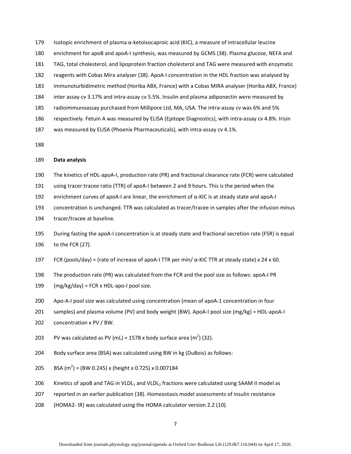- 179 Isotopic enrichment of plasma α-ketoisocaproic acid (KIC), a measure of intracellular leucine
- 180 enrichment for apoB and apoA-I synthesis, was measured by GCMS (38). Plasma glucose, NEFA and
- 181 TAG, total cholesterol, and lipoprotein fraction cholesterol and TAG were measured with enzymatic
- 182 reagents with Cobas Mira analyser (38). ApoA-I concentration in the HDL fraction was analysed by
- 183 immunoturbidimetric method (Horiba ABX, France) with a Cobas MIRA analyser (Horiba ABX, France)
- 184 inter assay cv 3.17% and intra-assay cv 5.5%. Insulin and plasma adiponectin were measured by
- 185 radioimmunoassay purchased from Millipore Ltd, MA, USA. The intra-assay cv was 6% and 5%
- 186 respectively. Fetuin A was measured by ELISA (Epitope Diagnostics), with intra-assay cv 4.8%. Irisin
- 187 was measured by ELISA (Phoenix Pharmaceuticals), with intra-assay cv 4.1%.

## 189 **Data analysis**

- 190 The kinetics of HDL-apoA-I, production rate (PR) and fractional clearance rate (FCR) were calculated
- 191 using tracer:tracee ratio (TTR) of apoA-I between 2 and 9 hours. This is the period when the
- 192 enrichment curves of apoA-I are linear, the enrichment of  $\alpha$ -KIC is at steady state and apoA-I
- 193 concentration is unchanged. TTR was calculated as tracer/tracee in samples after the infusion minus
- 194 tracer/tracee at baseline.
- 195 During fasting the apoA-I concentration is at steady state and fractional secretion rate (FSR) is equal 196 to the FCR (27).
- 197 FCR (pools/day) = (rate of increase of apoA-I TTR per min/  $\alpha$ -KIC TTR at steady state) x 24 x 60.
- 198 The production rate (PR) was calculated from the FCR and the pool size as follows: apoA-I PR
- 199  $(mg/kg/day) = FCR \times HDL$ -apo-I pool size.
- 200 Apo-A-I pool size was calculated using concentration (mean of apoA-1 concentration in four
- 201 samples) and plasma volume (PV) and body weight (BW). ApoA-I pool size (mg/kg) = HDL-apoA-I
- 202 concentration x PV / BW.
- 203 PV was calculated as PV (mL) = 1578 x body surface area (m<sup>2</sup>) (32).
- 204 Body surface area (BSA) was calculated using BW in kg (DuBois) as follows:
- 205 BSA (m<sup>2</sup>) = (BW 0.245) x (height x 0.725) x 0.007184
- 206 Kinetics of apoB and TAG in VLDL<sub>1</sub> and VLDL<sub>2</sub> fractions were calculated using SAAM II model as
- 207 reported in an earlier publication (38). Homeostasis model assessments of insulin resistance
- 208 (HOMA2- IR) was calculated using the HOMA calculator version 2.2 (10).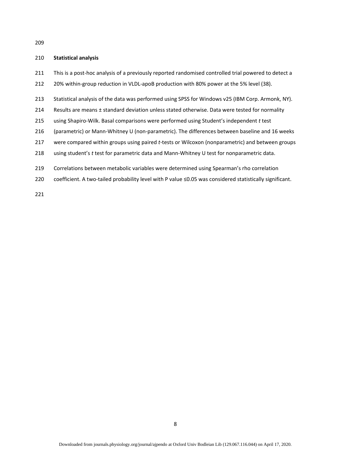## 210 **Statistical analysis**

- 211 This is a post-hoc analysis of a previously reported randomised controlled trial powered to detect a
- 212 20% within-group reduction in VLDL-apoB production with 80% power at the 5% level (38).
- 213 Statistical analysis of the data was performed using SPSS for Windows v25 (IBM Corp. Armonk, NY).
- 214 Results are means ± standard deviation unless stated otherwise. Data were tested for normality
- 215 using Shapiro-Wilk. Basal comparisons were performed using Student's independent *t* test
- 216 (parametric) or Mann-Whitney U (non-parametric). The differences between baseline and 16 weeks
- 217 were compared within groups using paired *t*-tests or Wilcoxon (nonparametric) and between groups
- 218 using student's *t* test for parametric data and Mann-Whitney U test for nonparametric data.
- 219 Correlations between metabolic variables were determined using Spearman's rho correlation
- 220 coefficient. A two-tailed probability level with P value ≤0.05 was considered statistically significant.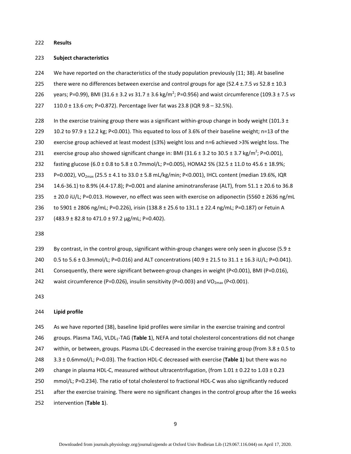#### 222 **Results**

#### 223 **Subject characteristics**

- 224 We have reported on the characteristics of the study population previously (11; 38). At baseline
- 225 there were no differences between exercise and control groups for age (52.4 ±.7.5 *vs* 52.8 ± 10.3
- 226 years; P=0.99), BMI (31.6 ± 3.2 *vs* 31.7 ± 3.6 kg/m<sup>2</sup>; P=0.956) and waist circumference (109.3 ± 7.5 *vs*

227 110.0 ± 13.6 cm; P=0.872). Percentage liver fat was 23.8 (IQR 9.8 – 32.5%).

- 228 In the exercise training group there was a significant within-group change in body weight (101.3  $\pm$
- 229 10.2 to 97.9  $\pm$  12.2 kg; P<0.001). This equated to loss of 3.6% of their baseline weight; n=13 of the
- 230 exercise group achieved at least modest (≤3%) weight loss and n=6 achieved >3% weight loss. The
- 231 exercise group also showed significant change in: BMI (31.6  $\pm$  3.2 to 30.5  $\pm$  3.7 kg/m<sup>2</sup>; P=0.001),
- 232 fasting glucose (6.0 ± 0.8 to 5.8 ± 0.7mmol/L; P=0.005), HOMA2 S% (32.5 ± 11.0 to 45.6 ± 18.9%;
- 233 P=0.002), VO<sub>2max</sub> (25.5 ± 4.1 to 33.0 ± 5.8 mL/kg/min; P<0.001), IHCL content (median 19.6%, IQR
- 234 14.6-36.1) to 8.9% (4.4-17.8); P=0.001 and alanine aminotransferase (ALT), from 51.1 ± 20.6 to 36.8
- 235 ± 20.0 iU/L; P=0.013. However, no effect was seen with exercise on adiponectin (5560 ± 2636 ng/mL
- 236 to 5901 ± 2806 ng/mL; P=0.226), irisin (138.8 ± 25.6 to 131.1 ± 22.4 ng/mL; P=0.187) or Fetuin A
- 237 (483.9 ± 82.8 to 471.0 ± 97.2 µg/mL; P=0.402).
- 238
- 239 By contrast, in the control group, significant within-group changes were only seen in glucose (5.9  $\pm$
- 240 0.5 to 5.6 ± 0.3mmol/L; P=0.016) and ALT concentrations (40.9 ± 21.5 to 31.1 ± 16.3 iU/L; P=0.041).
- 241 Consequently, there were significant between-group changes in weight (P<0.001), BMI (P=0.016),

242 waist circumference (P=0.026), insulin sensitivity (P=0.003) and VO<sub>2max</sub> (P<0.001).

243

## 244 **Lipid profile**

- 245 As we have reported (38), baseline lipid profiles were similar in the exercise training and control
- 246 groups. Plasma TAG, VLDL<sub>1</sub>-TAG (Table 1), NEFA and total cholesterol concentrations did not change
- 247 within, or between, groups. Plasma LDL-C decreased in the exercise training group (from 3.8 ± 0.5 to
- 248 3.3 ± 0.6mmol/L; P=0.03). The fraction HDL-C decreased with exercise (**Table 1**) but there was no
- 249 change in plasma HDL-C, measured without ultracentrifugation, (from  $1.01 \pm 0.22$  to  $1.03 \pm 0.23$
- 250 mmol/L; P=0.234). The ratio of total cholesterol to fractional HDL-C was also significantly reduced
- 251 after the exercise training. There were no significant changes in the control group after the 16 weeks
- 252 intervention (**Table 1**).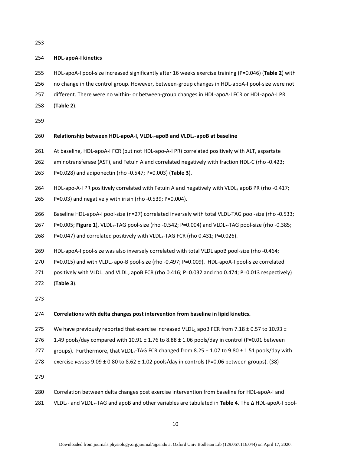## 254 **HDL-apoA-I kinetics**

- 255 HDL-apoA-I pool-size increased significantly after 16 weeks exercise training (P=0.046) (**Table 2**) with
- 256 no change in the control group. However, between-group changes in HDL-apoA-I pool-size were not
- 257 different. There were no within- or between-group changes in HDL-apoA-I FCR or HDL-apoA-I PR
- 258 (**Table 2**).

259

## 260 **Relationship between HDL-apoA-I, VLDL<sub>1</sub>-apoB and VLDL<sub>2</sub>-apoB at baseline**

- 261 At baseline, HDL-apoA-I FCR (but not HDL-apo-A-I PR) correlated positively with ALT, aspartate
- 262 aminotransferase (AST), and Fetuin A and correlated negatively with fraction HDL-C (rho -0.423;
- 263 P=0.028) and adiponectin (rho -0.547; P=0.003) (**Table 3**).
- 264 HDL-apo-A-I PR positively correlated with Fetuin A and negatively with VLDL<sub>2</sub> apoB PR (rho -0.417;
- 265 P=0.03) and negatively with irisin (rho -0.539; P=0.004).
- 266 Baseline HDL-apoA-I pool-size (n=27) correlated inversely with total VLDL-TAG pool-size (rho -0.533;
- 267 P=0.005; **Figure 1**), VLDL1-TAG pool-size (rho -0.542; P=0.004) and VLDL2-TAG pool-size (rho -0.385;
- 268 P=0.047) and correlated positively with VLDL<sub>1</sub>-TAG FCR (rho 0.431; P=0.026).
- 269 HDL-apoA-I pool-size was also inversely correlated with total VLDL apoB pool-size (rho -0.464;
- 270 P=0.015) and with VLDL<sub>2</sub> apo-B pool-size (rho -0.497; P=0.009). HDL-apoA-I pool-size correlated
- 271 positively with VLDL<sub>1</sub> and VLDL<sub>2</sub> apoB FCR (rho 0.416; P=0.032 and rho 0.474; P=0.013 respectively)
- 272 (**Table 3**).

273

## 274 **Correlations with delta changes post intervention from baseline in lipid kinetics.**

- 275 We have previously reported that exercise increased VLDL<sub>1</sub> apoB FCR from 7.18  $\pm$  0.57 to 10.93  $\pm$
- 276 1.49 pools/day compared with  $10.91 \pm 1.76$  to  $8.88 \pm 1.06$  pools/day in control (P=0.01 between
- 277 groups). Furthermore, that VLDL<sub>1</sub>-TAG FCR changed from 8.25  $\pm$  1.07 to 9.80  $\pm$  1.51 pools/day with

278 exercise *versus* 9.09 ± 0.80 to 8.62 ± 1.02 pools/day in controls (P=0.06 between groups). (38)

279

280 Correlation between delta changes post exercise intervention from baseline for HDL-apoA-I and 281 VLDL1- and VLDL2-TAG and apoB and other variables are tabulated in **Table 4**. The Δ HDL-apoA-I pool-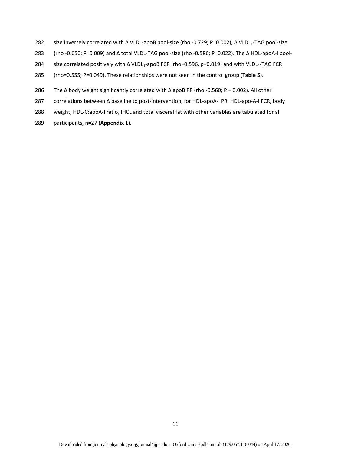- 282 size inversely correlated with Δ VLDL-apoB pool-size (rho -0.729; P=0.002), Δ VLDL1-TAG pool-size
- 283 (rho -0.650; P=0.009) and Δ total VLDL-TAG pool-size (rho -0.586; P=0.022). The Δ HDL-apoA-I pool-
- 284 size correlated positively with Δ VLDL<sub>1</sub>-apoB FCR (rho=0.596, p=0.019) and with VLDL<sub>1</sub>-TAG FCR
- 285 (rho=0.555; P=0.049). These relationships were not seen in the control group (**Table 5**).
- 286 The Δ body weight significantly correlated with Δ apoB PR (rho -0.560; P = 0.002). All other
- 287 correlations between Δ baseline to post-intervention, for HDL-apoA-I PR, HDL-apo-A-I FCR, body
- 288 weight, HDL-C:apoA-I ratio, IHCL and total visceral fat with other variables are tabulated for all
- 289 participants, n=27 (**Appendix 1**).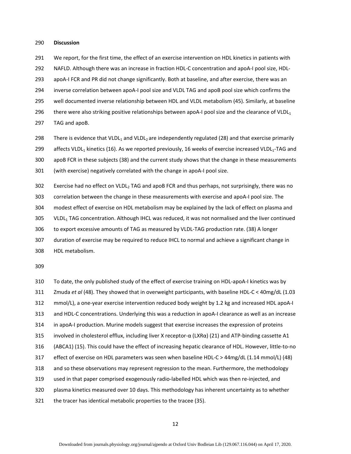#### 290 **Discussion**

291 We report, for the first time, the effect of an exercise intervention on HDL kinetics in patients with

292 NAFLD. Although there was an increase in fraction HDL-C concentration and apoA-I pool size, HDL-

293 apoA-I FCR and PR did not change significantly. Both at baseline, and after exercise, there was an

294 inverse correlation between apoA-I pool size and VLDL TAG and apoB pool size which confirms the

295 well documented inverse relationship between HDL and VLDL metabolism (45). Similarly, at baseline

296 there were also striking positive relationships between apoA-I pool size and the clearance of VLDL<sub>1</sub>

297 TAG and apoB.

298 There is evidence that VLDL<sub>1</sub> and VLDL<sub>2</sub> are independently regulated (28) and that exercise primarily

299 affects VLDL<sub>1</sub> kinetics (16). As we reported previously, 16 weeks of exercise increased VLDL<sub>1</sub>-TAG and

300 apoB FCR in these subjects (38) and the current study shows that the change in these measurements

301 (with exercise) negatively correlated with the change in apoA-I pool size.

302 Exercise had no effect on VLDL<sub>2</sub> TAG and apoB FCR and thus perhaps, not surprisingly, there was no 303 correlation between the change in these measurements with exercise and apoA-I pool size. The 304 modest effect of exercise on HDL metabolism may be explained by the lack of effect on plasma and

305 VLDL<sub>1</sub> TAG concentration. Although IHCL was reduced, it was not normalised and the liver continued

306 to export excessive amounts of TAG as measured by VLDL-TAG production rate. (38) A longer

307 duration of exercise may be required to reduce IHCL to normal and achieve a significant change in 308 HDL metabolism.

309

310 To date, the only published study of the effect of exercise training on HDL-apoA-I kinetics was by 311 Zmuda *et al* (48). They showed that in overweight participants, with baseline HDL-C < 40mg/dL (1.03 312 mmol/L), a one-year exercise intervention reduced body weight by 1.2 kg and increased HDL apoA-I 313 and HDL-C concentrations. Underlying this was a reduction in apoA-I clearance as well as an increase 314 in apoA-I production. Murine models suggest that exercise increases the expression of proteins 315 involved in cholesterol efflux, including liver X receptor- $\alpha$  (LXR $\alpha$ ) (21) and ATP-binding cassette A1 316 (ABCA1) (15). This could have the effect of increasing hepatic clearance of HDL. However, little-to-no 317 effect of exercise on HDL parameters was seen when baseline HDL-C > 44mg/dL (1.14 mmol/L) (48) 318 and so these observations may represent regression to the mean. Furthermore, the methodology 319 used in that paper comprised exogenously radio-labelled HDL which was then re-injected, and 320 plasma kinetics measured over 10 days. This methodology has inherent uncertainty as to whether 321 the tracer has identical metabolic properties to the tracee (35).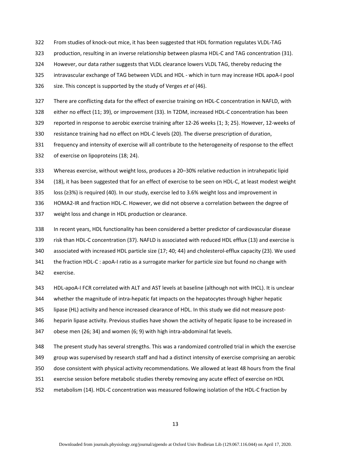- 322 From studies of knock-out mice, it has been suggested that HDL formation regulates VLDL-TAG
- 323 production, resulting in an inverse relationship between plasma HDL-C and TAG concentration (31).
- 324 However, our data rather suggests that VLDL clearance lowers VLDL TAG, thereby reducing the
- 325 intravascular exchange of TAG between VLDL and HDL which in turn may increase HDL apoA-I pool
- 326 size. This concept is supported by the study of Verges *et al* (46).
- 327 There are conflicting data for the effect of exercise training on HDL-C concentration in NAFLD, with
- 328 either no effect (11; 39), or improvement (33). In T2DM, increased HDL-C concentration has been
- 329 reported in response to aerobic exercise training after 12-26 weeks (1; 3; 25). However, 12-weeks of
- 330 resistance training had no effect on HDL-C levels (20). The diverse prescription of duration,
- 331 frequency and intensity of exercise will all contribute to the heterogeneity of response to the effect
- 332 of exercise on lipoproteins (18; 24).
- 333 Whereas exercise, without weight loss, produces a 20–30% relative reduction in intrahepatic lipid
- 334 (18), it has been suggested that for an effect of exercise to be seen on HDL-C, at least modest weight
- 335 loss (≥3%) is required (40). In our study, exercise led to 3.6% weight loss and improvement in
- 336 HOMA2-IR and fraction HDL-C. However, we did not observe a correlation between the degree of
- 337 weight loss and change in HDL production or clearance.
- 338 In recent years, HDL functionality has been considered a better predictor of cardiovascular disease 339 risk than HDL-C concentration (37). NAFLD is associated with reduced HDL efflux (13) and exercise is 340 associated with increased HDL particle size (17; 40; 44) and cholesterol-efflux capacity (23). We used 341 the fraction HDL-C : apoA-I ratio as a surrogate marker for particle size but found no change with 342 exercise.
- 343 HDL-apoA-I FCR correlated with ALT and AST levels at baseline (although not with IHCL). It is unclear
- 344 whether the magnitude of intra-hepatic fat impacts on the hepatocytes through higher hepatic
- 345 lipase (HL) activity and hence increased clearance of HDL. In this study we did not measure post-
- 346 heparin lipase activity. Previous studies have shown the activity of hepatic lipase to be increased in
- 347 obese men (26; 34) and women (6; 9) with high intra-abdominal fat levels.
- 348 The present study has several strengths. This was a randomized controlled trial in which the exercise
- 349 group was supervised by research staff and had a distinct intensity of exercise comprising an aerobic
- 350 dose consistent with physical activity recommendations. We allowed at least 48 hours from the final
- 351 exercise session before metabolic studies thereby removing any acute effect of exercise on HDL
- 352 metabolism (14). HDL-C concentration was measured following isolation of the HDL-C fraction by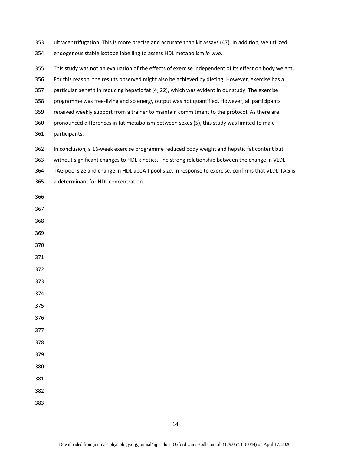353 ultracentrifugation. This is more precise and accurate than kit assays (47). In addition, we utilized

354 endogenous stable isotope labelling to assess HDL metabolism *in vivo*.

- 355 This study was not an evaluation of the effects of exercise independent of its effect on body weight.
- 356 For this reason, the results observed might also be achieved by dieting. However, exercise has a
- 357 particular benefit in reducing hepatic fat (4; 22), which was evident in our study. The exercise
- 358 programme was free-living and so energy output was not quantified. However, all participants
- 359 received weekly support from a trainer to maintain commitment to the protocol. As there are
- 360 pronounced differences in fat metabolism between sexes (5), this study was limited to male
- 361 participants.
- 362 In conclusion, a 16-week exercise programme reduced body weight and hepatic fat content but
- 363 without significant changes to HDL kinetics. The strong relationship between the change in VLDL-
- 364 TAG pool size and change in HDL apoA-I pool size, in response to exercise, confirms that VLDL-TAG is
- 365 a determinant for HDL concentration.
- 366
- 367
- 368

369

- 370
- 371

372

373

374

375

- 376
- 377
- 378
- 379

- 381
- 382
- 383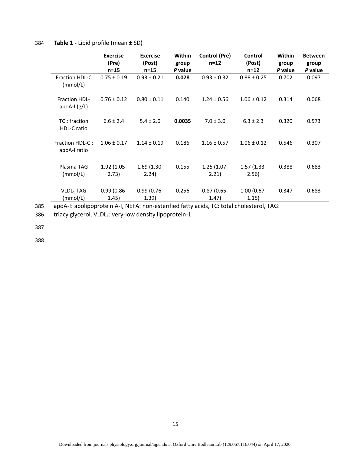## 384 **Table 1 -** Lipid profile (mean ± SD)

|                                    | <b>Exercise</b><br>(Pre)<br>$n=15$ | <b>Exercise</b><br>(Post)<br>$n=15$ | Within<br>group<br>P value | <b>Control (Pre)</b><br>$n = 12$ | Control<br>(Post)<br>$n = 12$ | Within<br>group<br>P value | <b>Between</b><br>group<br>P value |
|------------------------------------|------------------------------------|-------------------------------------|----------------------------|----------------------------------|-------------------------------|----------------------------|------------------------------------|
| <b>Fraction HDL-C</b><br>(mmol/L)  | $0.75 \pm 0.19$                    | $0.93 \pm 0.21$                     | 0.028                      | $0.93 \pm 0.32$                  | $0.88 \pm 0.25$               | 0.702                      | 0.097                              |
| Fraction HDL-<br>apoA-I $(g/L)$    | $0.76 \pm 0.12$                    | $0.80 \pm 0.11$                     | 0.140                      | $1.24 \pm 0.56$                  | $1.06 \pm 0.12$               | 0.314                      | 0.068                              |
| TC: fraction<br><b>HDL-C</b> ratio | $6.6 \pm 2.4$                      | $5.4 \pm 2.0$                       | 0.0035                     | $7.0 \pm 3.0$                    | $6.3 \pm 2.3$                 | 0.320                      | 0.573                              |
| Fraction HDL-C:<br>apoA-I ratio    | $1.06 \pm 0.17$                    | $1.14 \pm 0.19$                     | 0.186                      | $1.16 \pm 0.57$                  | $1.06 \pm 0.12$               | 0.546                      | 0.307                              |
| Plasma TAG<br>(mmol/L)             | 1.92 (1.05-<br>2.73)               | $1.69(1.30 -$<br>2.24)              | 0.155                      | $1.25(1.07 -$<br>2.21)           | 1.57 (1.33-<br>2.56)          | 0.388                      | 0.683                              |
| VLDL <sub>1</sub> TAG<br>(mmol/L)  | $0.99(0.86 -$<br>1.45)             | $0.99(0.76 -$<br>(1.39)             | 0.256                      | $0.87(0.65 -$<br>(1.47)          | $1.00(0.67 -$<br>1.15)        | 0.347                      | 0.683                              |

385 apoA-I: apolipoprotein A-I, NEFA: non-esterified fatty acids, TC: total cholesterol, TAG:

386 triacylglycerol, VLDL<sub>1</sub>: very-low density lipoprotein-1

387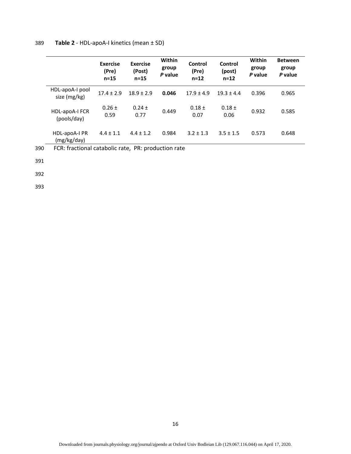|                                 | <b>Exercise</b><br>(Pre)<br>$n=15$ | <b>Exercise</b><br>(Post)<br>$n=15$ | Within<br>group<br>P value | Control<br>(Pre)<br>$n = 12$ | Control<br>(post)<br>$n = 12$ | Within<br>group<br>P value | <b>Between</b><br>group<br>P value |
|---------------------------------|------------------------------------|-------------------------------------|----------------------------|------------------------------|-------------------------------|----------------------------|------------------------------------|
| HDL-apoA-I pool<br>size (mg/kg) | $17.4 + 2.9$                       | $18.9 + 2.9$                        | 0.046                      | $17.9 + 4.9$                 | $19.3 + 4.4$                  | 0.396                      | 0.965                              |
| HDL-apoA-I FCR<br>(pools/day)   | $0.26 \pm$<br>0.59                 | $0.24 \pm$<br>0.77                  | 0.449                      | $0.18 \pm$<br>0.07           | $0.18 \pm$<br>0.06            | 0.932                      | 0.585                              |
| HDL-apoA-I PR<br>(mg/kg/day)    | $4.4 + 1.1$                        | $4.4 \pm 1.2$                       | 0.984                      | $3.2 + 1.3$                  | $3.5 \pm 1.5$                 | 0.573                      | 0.648                              |

390 FCR: fractional catabolic rate, PR: production rate

391

392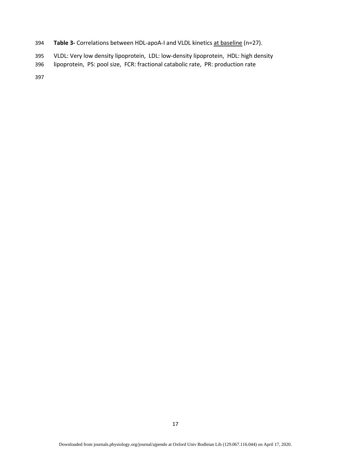- 394 **Table 3-** Correlations between HDL-apoA-I and VLDL kinetics at baseline (n=27).
- 395 VLDL: Very low density lipoprotein, LDL: low-density lipoprotein, HDL: high density
- 396 lipoprotein, PS: pool size, FCR: fractional catabolic rate, PR: production rate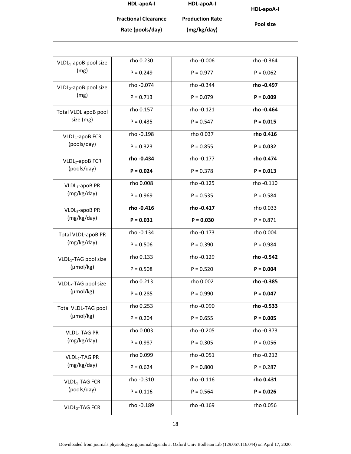**HDL-apoA-I Fractional Clearance Rate (pools/day) HDL-apoA-I Production Rate (mg/kg/day)** 

**HDL-apoA-I** 

**Pool size** 

| VLDL <sub>1</sub> -apoB pool size | rho 0.230   | rho -0.006  | rho -0.364  |
|-----------------------------------|-------------|-------------|-------------|
| (mg)                              | $P = 0.249$ | $P = 0.977$ | $P = 0.062$ |
| VLDL2-apoB pool size              | rho -0.074  | rho -0.344  | rho - 0.497 |
| (mg)                              | $P = 0.713$ | $P = 0.079$ | $P = 0.009$ |
| Total VLDL apoB pool              | rho 0.157   | rho -0.121  | rho - 0.464 |
| size (mg)                         | $P = 0.435$ | $P = 0.547$ | $P = 0.015$ |
| VLDL <sub>1</sub> -apoB FCR       | rho -0.198  | rho 0.037   | rho 0.416   |
| (pools/day)                       | $P = 0.323$ | $P = 0.855$ | $P = 0.032$ |
| VLDL <sub>2</sub> -apoB FCR       | rho - 0.434 | rho -0.177  | rho 0.474   |
| (pools/day)                       | $P = 0.024$ | $P = 0.378$ | $P = 0.013$ |
| VLDL <sub>1</sub> -apoB PR        | rho 0.008   | rho -0.125  | rho -0.110  |
| (mg/kg/day)                       | $P = 0.969$ | $P = 0.535$ | $P = 0.584$ |
| VLDL <sub>2</sub> -apoB PR        | rho - 0.416 | rho - 0.417 | rho 0.033   |
| (mg/kg/day)                       | $P = 0.031$ | $P = 0.030$ | $P = 0.871$ |
| Total VLDL-apoB PR                | rho -0.134  | rho -0.173  | rho 0.004   |
| (mg/kg/day)                       | $P = 0.506$ | $P = 0.390$ | $P = 0.984$ |
| VLDL <sub>1</sub> -TAG pool size  | rho 0.133   | rho -0.129  | rho - 0.542 |
| $(\mu \text{mol/kg})$             | $P = 0.508$ | $P = 0.520$ | $P = 0.004$ |
| VLDL2-TAG pool size               | rho 0.213   | rho 0.002   | rho - 0.385 |
| $(\mu \text{mol/kg})$             | $P = 0.285$ | $P = 0.990$ | $P = 0.047$ |
| Total VLDL-TAG pool               | rho 0.253   | rho -0.090  | rho - 0.533 |
| $(\mu \text{mol/kg})$             | $P = 0.204$ | $P = 0.655$ | $P = 0.005$ |
| VLDL <sub>1</sub> TAG PR          | rho 0.003   | rho -0.205  | rho -0.373  |
| (mg/kg/day)                       | $P = 0.987$ | $P = 0.305$ | $P = 0.056$ |
| VLDL <sub>2</sub> -TAG PR         | rho 0.099   | rho -0.051  | rho -0.212  |
| (mg/kg/day)                       | $P = 0.624$ | $P = 0.800$ | $P = 0.287$ |
| VLDL <sub>1</sub> -TAG FCR        | rho -0.310  | rho -0.116  | rho 0.431   |
| (pools/day)                       | $P = 0.116$ | $P = 0.564$ | $P = 0.026$ |
| VLDL <sub>2</sub> -TAG FCR        | rho -0.189  | rho -0.169  | rho 0.056   |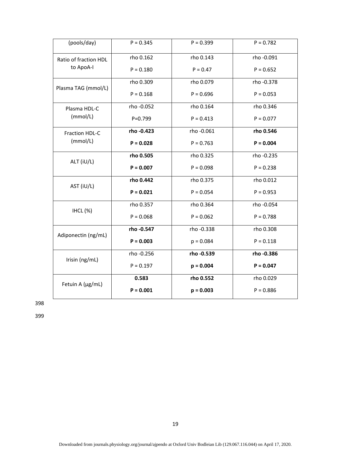| (pools/day)                                                                                                                                                                                            | $P = 0.345$ | $P = 0.399$ | $P = 0.782$ |  |
|--------------------------------------------------------------------------------------------------------------------------------------------------------------------------------------------------------|-------------|-------------|-------------|--|
| Ratio of fraction HDL                                                                                                                                                                                  | rho 0.162   | rho 0.143   | rho -0.091  |  |
| to ApoA-I<br>Plasma TAG (mmol/L)<br>Plasma HDL-C<br>(mmol/L)<br>Fraction HDL-C<br>(mmol/L)<br>ALT (iU/L)<br>AST (iU/L)<br><b>IHCL (%)</b><br>Adiponectin (ng/mL)<br>Irisin (ng/mL)<br>Fetuin A (µg/mL) | $P = 0.180$ | $P = 0.47$  | $P = 0.652$ |  |
|                                                                                                                                                                                                        | rho 0.309   | rho 0.079   | rho -0.378  |  |
|                                                                                                                                                                                                        | $P = 0.168$ | $P = 0.696$ | $P = 0.053$ |  |
|                                                                                                                                                                                                        | rho -0.052  | rho 0.164   | rho 0.346   |  |
|                                                                                                                                                                                                        | $P = 0.799$ | $P = 0.413$ | $P = 0.077$ |  |
|                                                                                                                                                                                                        | rho - 0.423 | rho -0.061  | rho 0.546   |  |
|                                                                                                                                                                                                        | $P = 0.028$ | $P = 0.763$ | $P = 0.004$ |  |
|                                                                                                                                                                                                        | rho 0.505   | rho 0.325   | rho -0.235  |  |
|                                                                                                                                                                                                        | $P = 0.007$ | $P = 0.098$ | $P = 0.238$ |  |
|                                                                                                                                                                                                        | rho 0.442   | rho 0.375   | rho 0.012   |  |
|                                                                                                                                                                                                        | $P = 0.021$ | $P = 0.054$ | $P = 0.953$ |  |
|                                                                                                                                                                                                        | rho 0.357   | rho 0.364   | rho -0.054  |  |
|                                                                                                                                                                                                        | $P = 0.068$ | $P = 0.062$ | $P = 0.788$ |  |
|                                                                                                                                                                                                        | rho - 0.547 | rho -0.338  | rho 0.308   |  |
|                                                                                                                                                                                                        | $P = 0.003$ | $p = 0.084$ | $P = 0.118$ |  |
|                                                                                                                                                                                                        | rho -0.256  | rho - 0.539 | rho - 0.386 |  |
|                                                                                                                                                                                                        | $P = 0.197$ | $p = 0.004$ | $P = 0.047$ |  |
|                                                                                                                                                                                                        | 0.583       | rho 0.552   | rho 0.029   |  |
|                                                                                                                                                                                                        | $P = 0.001$ | $p = 0.003$ | $P = 0.886$ |  |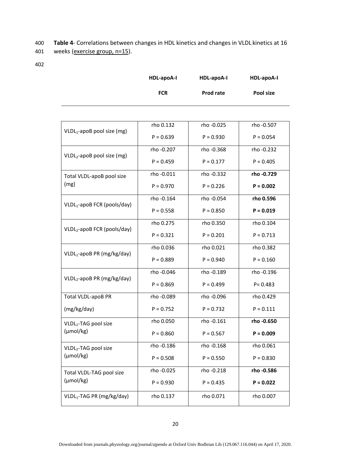400 **Table 4**- Correlations between changes in HDL kinetics and changes in VLDL kinetics at 16 401 weeks (exercise group, n=15).

| HDL-apoA-I | HDL-apoA-I | HDL-apoA-I |
|------------|------------|------------|
| <b>FCR</b> | Prod rate  | Pool size  |

|                                         | rho 0.132   | rho -0.025  | rho -0.507  |
|-----------------------------------------|-------------|-------------|-------------|
| VLDL <sub>1</sub> -apoB pool size (mg)  | $P = 0.639$ | $P = 0.930$ | $P = 0.054$ |
|                                         | rho -0.207  | rho -0.368  | rho -0.232  |
| VLDL <sub>2</sub> -apoB pool size (mg)  | $P = 0.459$ | $P = 0.177$ | $P = 0.405$ |
| Total VLDL-apoB pool size               | rho -0.011  | rho -0.332  | rho - 0.729 |
| (mg)                                    | $P = 0.970$ | $P = 0.226$ | $P = 0.002$ |
| VLDL <sub>1</sub> -apoB FCR (pools/day) | rho -0.164  | rho -0.054  | rho 0.596   |
|                                         | $P = 0.558$ | $P = 0.850$ | $P = 0.019$ |
| VLDL <sub>2</sub> -apoB FCR (pools/day) | rho 0.275   | rho 0.350   | rho 0.104   |
|                                         | $P = 0.321$ | $P = 0.201$ | $P = 0.713$ |
| VLDL1-apoB PR (mg/kg/day)               | rho 0.036   | rho 0.021   | rho 0.382   |
|                                         | $P = 0.889$ | $P = 0.940$ | $P = 0.160$ |
| VLDL <sub>2</sub> -apoB PR (mg/kg/day)  | rho -0.046  | rho -0.189  | rho -0.196  |
|                                         | $P = 0.869$ | $P = 0.499$ | $P = 0.483$ |
| Total VLDL-apoB PR                      | rho -0.089  | rho - 0.096 | rho 0.429   |
| (mg/kg/day)                             | $P = 0.752$ | $P = 0.732$ | $P = 0.111$ |
| VLDL <sub>1</sub> -TAG pool size        | rho 0.050   | rho -0.161  | rho - 0.650 |
| (µmol/kg)                               | $P = 0.860$ | $P = 0.567$ | $P = 0.009$ |
| VLDL <sub>2</sub> -TAG pool size        | rho -0.186  | rho -0.168  | rho 0.061   |
| (µmol/kg)                               | $P = 0.508$ | $P = 0.550$ | $P = 0.830$ |
| Total VLDL-TAG pool size                | rho - 0.025 | rho -0.218  | rho - 0.586 |
| (µmol/kg)                               | $P = 0.930$ | $P = 0.435$ | $P = 0.022$ |
| VLDL <sub>1</sub> -TAG PR (mg/kg/day)   | rho 0.137   | rho 0.071   | rho 0.007   |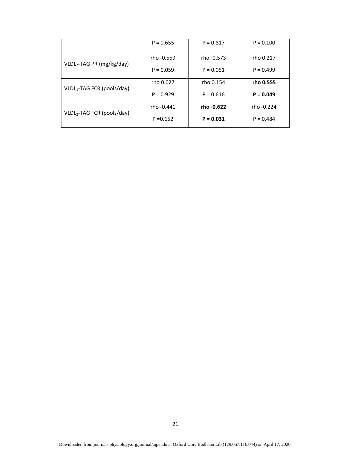|                                        | $P = 0.655$ | $P = 0.817$                | $P = 0.100$ |
|----------------------------------------|-------------|----------------------------|-------------|
| VLDL <sub>2</sub> -TAG PR (mg/kg/day)  | rho -0.559  | rho -0.573                 | rho 0.217   |
|                                        | $P = 0.059$ | $P = 0.051$                | $P = 0.499$ |
|                                        | rho 0.027   | rho 0.154                  | rho 0.555   |
| VLDL <sub>1</sub> -TAG FCR (pools/day) | $P = 0.929$ | $P = 0.616$                | $P = 0.049$ |
|                                        | rho -0.441  | rho -0.622                 | rho -0.224  |
| VLDL <sub>2</sub> -TAG FCR (pools/day) | $P = 0.152$ | $P = 0.031$<br>$P = 0.484$ |             |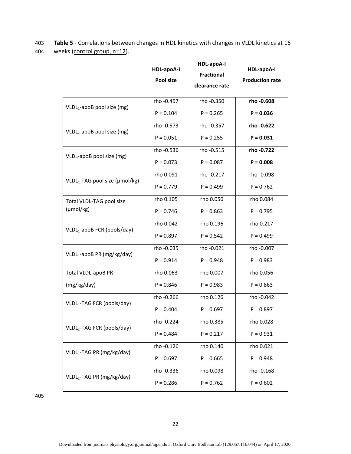403 **Table 5** - Correlations between changes in HDL kinetics with changes in VLDL kinetics at 16 404 weeks (control group, n=12).

|                                            | HDL-apoA-I<br>Pool size | <b>HDL-apoA-I</b><br><b>Fractional</b><br>clearance rate | HDL-apoA-I<br><b>Production rate</b> |
|--------------------------------------------|-------------------------|----------------------------------------------------------|--------------------------------------|
| VLDL <sub>1</sub> -apoB pool size (mg)     | rho -0.497              | rho -0.350                                               | rho -0.608                           |
|                                            | $P = 0.104$             | $P = 0.265$                                              | $P = 0.036$                          |
| VLDL <sub>2</sub> -apoB pool size (mg)     | rho -0.573              | rho -0.357                                               | rho - 0.622                          |
|                                            | $P = 0.051$             | $P = 0.255$                                              | $P = 0.031$                          |
| VLDL-apoB pool size (mg)                   | rho -0.536              | rho -0.515                                               | rho - 0.722                          |
|                                            | $P = 0.073$             | $P = 0.087$                                              | $P = 0.008$                          |
| VLDL <sub>1</sub> -TAG pool size (µmol/kg) | rho 0.091               | rho -0.217                                               | rho -0.098                           |
|                                            | $P = 0.779$             | $P = 0.499$                                              | $P = 0.762$                          |
| Total VLDL-TAG pool size                   | rho 0.105               | rho 0.056                                                | rho 0.084                            |
| $(\mu \text{mol/kg})$                      | $P = 0.746$             | $P = 0.863$                                              | $P = 0.795$                          |
| VLDL <sub>1</sub> -apoB FCR (pools/day)    | rho 0.042               | rho 0.196                                                | rho 0.217                            |
|                                            | $P = 0.897$             | $P = 0.542$                                              | $P = 0.499$                          |
| VLDL <sub>1</sub> -apoB PR (mg/kg/day)     | rho -0.035              | rho -0.021                                               | rho -0.007                           |
|                                            | $P = 0.914$             | $P = 0.948$                                              | $P = 0.983$                          |
| Total VLDL-apoB PR                         | rho 0.063               | rho 0.007                                                | rho 0.056                            |
| (mg/kg/day)                                | $P = 0.846$             | $P = 0.983$                                              | $P = 0.863$                          |
| VLDL <sub>1</sub> -TAG FCR (pools/day)     | rho -0.266              | rho 0.126                                                | rho -0.042                           |
|                                            | $P = 0.404$             | $P = 0.697$                                              | $P = 0.897$                          |
| VLDL2-TAG FCR (pools/day)                  | rho -0.224              | rho 0.385                                                | rho 0.028                            |
|                                            | $P = 0.484$             | $P = 0.217$                                              | $P = 0.931$                          |
| VLDL <sub>1</sub> -TAG PR (mg/kg/day)      | rho -0.126              | rho 0.140                                                | rho 0.021                            |
|                                            | $P = 0.697$             | $P = 0.665$                                              | $P = 0.948$                          |
| VLDL2-TAG PR (mg/kg/day)                   | rho -0.336              | rho 0.098                                                | rho -0.168                           |
|                                            | $P = 0.286$             | $P = 0.762$                                              | $P = 0.602$                          |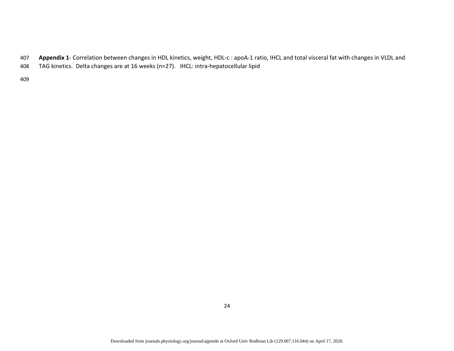- <sup>407</sup>**Appendix 1** Correlation between changes in HDL kinetics, weight, HDL-c : apoA-1 ratio, IHCL and total visceral fat with changes in VLDL and
- 408 TAG kinetics. Delta changes are at 16 weeks (n=27). IHCL: intra-hepatocellular lipid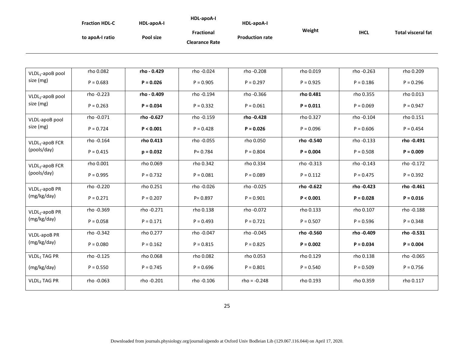|                              | <b>Fraction HDL-C</b> | HDL-apoA-I  | HDL-apoA-I                          | HDL-apoA-I             |             |             |                           |
|------------------------------|-----------------------|-------------|-------------------------------------|------------------------|-------------|-------------|---------------------------|
|                              | to apoA-I ratio       | Pool size   | Fractional<br><b>Clearance Rate</b> | <b>Production rate</b> | Weight      | <b>IHCL</b> | <b>Total visceral fat</b> |
|                              |                       |             |                                     |                        |             |             |                           |
| VLDL <sub>1</sub> -apoB pool | rho 0.082             | rho - 0.429 | rho -0.024                          | rho -0.208             | rho 0.019   | rho -0.263  | rho 0.209                 |
| size (mg)                    | $P = 0.683$           | $P = 0.026$ | $P = 0.905$                         | $P = 0.297$            | $P = 0.925$ | $P = 0.186$ | $P = 0.296$               |
| VLDL <sub>2</sub> -apoB pool | rho -0.223            | rho - 0.409 | rho -0.194                          | rho -0.366             | rho 0.481   | rho 0.355   | rho 0.013                 |
| size (mg)                    | $P = 0.263$           | $P = 0.034$ | $P = 0.332$                         | $P = 0.061$            | $P = 0.011$ | $P = 0.069$ | $P = 0.947$               |
| VLDL-apoB pool               | rho -0.071            | rho - 0.627 | rho -0.159                          | rho - 0.428            | rho 0.327   | rho -0.104  | rho 0.151                 |
| size (mg)                    | $P = 0.724$           | P < 0.001   | $P = 0.428$                         | $P = 0.026$            | $P = 0.096$ | $P = 0.606$ | $P = 0.454$               |
| $VLDL1$ -apoB FCR            | rho -0.164            | rho 0.413   | rho -0.055                          | rho 0.050              | rho - 0.540 | rho -0.133  | rho - 0.491               |
| (pools/day)                  | $P = 0.415$           | $p = 0.032$ | $P = 0.784$                         | $P = 0.804$            | $P = 0.004$ | $P = 0.508$ | $P = 0.009$               |
| VLDL <sub>2</sub> -apoB FCR  | rho 0.001             | rho 0.069   | rho 0.342                           | rho 0.334              | rho -0.313  | rho -0.143  | rho -0.172                |
| (pools/day)                  | $P = 0.995$           | $P = 0.732$ | $P = 0.081$                         | $P = 0.089$            | $P = 0.112$ | $P = 0.475$ | $P = 0.392$               |
| $VLDL1$ -apoB PR             | rho -0.220            | rho 0.251   | rho -0.026                          | rho - 0.025            | rho - 0.622 | rho - 0.423 | rho - 0.461               |
| (mg/kg/day)                  | $P = 0.271$           | $P = 0.207$ | $P = 0.897$                         | $P = 0.901$            | P < 0.001   | $P = 0.028$ | $P = 0.016$               |
| VLDL <sub>2</sub> -apoB PR   | rho -0.369            | rho - 0.271 | rho 0.138                           | rho -0.072             | rho 0.133   | rho 0.107   | rho -0.188                |
| (mg/kg/day)                  | $P = 0.058$           | $P = 0.171$ | $P = 0.493$                         | $P = 0.721$            | $P = 0.507$ | $P = 0.596$ | $P = 0.348$               |
| <b>VLDL-apoB PR</b>          | rho -0.342            | rho 0.277   | rho -0.047                          | rho - 0.045            | rho - 0.560 | rho -0.409  | rho - 0.531               |
| (mg/kg/day)                  | $P = 0.080$           | $P = 0.162$ | $P = 0.815$                         | $P = 0.825$            | $P = 0.002$ | $P = 0.034$ | $P = 0.004$               |
| VLDL <sub>1</sub> TAG PR     | rho - 0.125           | rho 0.068   | rho 0.082                           | rho 0.053              | rho 0.129   | rho 0.138   | rho -0.065                |
| (mg/kg/day)                  | $P = 0.550$           | $P = 0.745$ | $P = 0.696$                         | $P = 0.801$            | $P = 0.540$ | $P = 0.509$ | $P = 0.756$               |
| VLDL2 TAG PR                 | rho -0.063            | rho -0.201  | rho -0.106                          | $rho = -0.248$         | rho 0.193   | rho 0.359   | rho 0.117                 |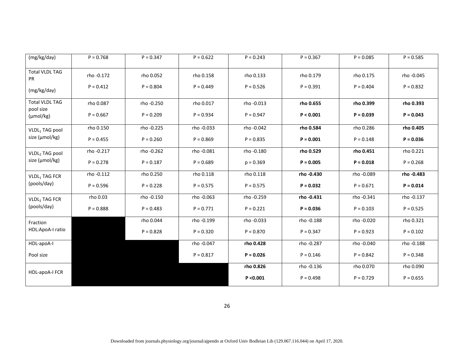| (mg/kg/day)                        | $P = 0.768$ | $P = 0.347$ | $P = 0.622$ | $P = 0.243$ | $P = 0.367$ | $P = 0.085$ | $P = 0.585$ |
|------------------------------------|-------------|-------------|-------------|-------------|-------------|-------------|-------------|
| <b>Total VLDL TAG</b><br><b>PR</b> | rho -0.172  | rho 0.052   | rho 0.158   | rho 0.133   | rho 0.179   | rho 0.175   | rho -0.045  |
| (mg/kg/day)                        | $P = 0.412$ | $P = 0.804$ | $P = 0.449$ | $P = 0.526$ | $P = 0.391$ | $P = 0.404$ | $P = 0.832$ |
| <b>Total VLDL TAG</b><br>pool size | rho 0.087   | rho -0.250  | rho 0.017   | rho -0.013  | rho 0.655   | rho 0.399   | rho 0.393   |
| $(\mu \text{mol/kg})$              | $P = 0.667$ | $P = 0.209$ | $P = 0.934$ | $P = 0.947$ | P < 0.001   | $P = 0.039$ | $P = 0.043$ |
| VLDL1 TAG pool                     | rho 0.150   | rho - 0.225 | rho -0.033  | rho -0.042  | rho 0.584   | rho 0.286   | rho 0.405   |
| size (µmol/kg)                     | $P = 0.455$ | $P = 0.260$ | $P = 0.869$ | $P = 0.835$ | $P = 0.001$ | $P = 0.148$ | $P = 0.036$ |
| VLDL2 TAG pool                     | rho -0.217  | rho-0.262   | rho -0.081  | rho -0.180  | rho 0.529   | rho 0.451   | rho 0.221   |
| size (µmol/kg)                     | $P = 0.278$ | $P = 0.187$ | $P = 0.689$ | $p = 0.369$ | $P = 0.005$ | $P = 0.018$ | $P = 0.268$ |
| VLDL1 TAG FCR                      | rho -0.112  | rho 0.250   | rho 0.118   | rho 0.118   | rho - 0.430 | rho -0.089  | rho - 0.483 |
| (pools/day)                        | $P = 0.596$ | $P = 0.228$ | $P = 0.575$ | $P = 0.575$ | $P = 0.032$ | $P = 0.671$ | $P = 0.014$ |
| VLDL <sub>2</sub> TAG FCR          | rho 0.03    | rho - 0.150 | rho -0.063  | rho - 0.259 | rho - 0.431 | rho -0.341  | rho -0.137  |
| (pools/day)                        | $P = 0.888$ | $P = 0.483$ | $P = 0.771$ | $P = 0.221$ | $P = 0.036$ | $P = 0.103$ | $P = 0.525$ |
| Fraction                           |             | rho 0.044   | rho -0.199  | rho -0.033  | rho -0.188  | rho -0.020  | rho 0.321   |
| HDL:ApoA-I ratio                   |             | $P = 0.828$ | $P = 0.320$ | $P = 0.870$ | $P = 0.347$ | $P = 0.923$ | $P = 0.102$ |
| HDL-apoA-I                         |             |             | rho -0.047  | rho 0.428   | rho -0.287  | rho -0.040  | rho -0.188  |
| Pool size                          |             |             | $P = 0.817$ | $P = 0.026$ | $P = 0.146$ | $P = 0.842$ | $P = 0.348$ |
| HDL-apoA-I FCR                     |             |             |             | rho 0.826   | rho - 0.136 | rho 0.070   | rho 0.090   |
|                                    |             |             |             | P < 0.001   | $P = 0.498$ | $P = 0.729$ | $P = 0.655$ |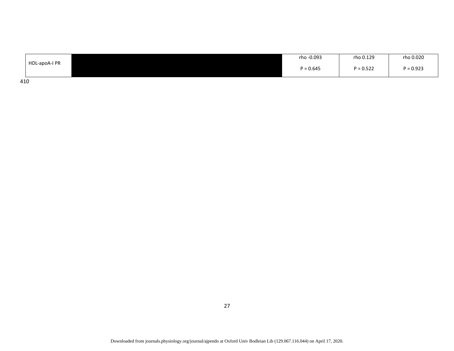|               | rho -0.093  | rho 0.129   | rho 0.020   |
|---------------|-------------|-------------|-------------|
| HDL-apoA-I PR | $P = 0.645$ | $P = 0.522$ | $P = 0.923$ |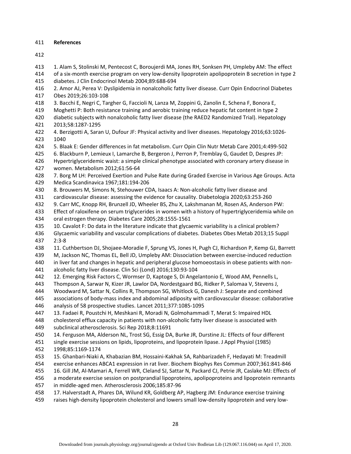## 411 **References**

- 413 1. Alam S, Stolinski M, Pentecost C, Boroujerdi MA, Jones RH, Sonksen PH, Umpleby AM: The effect
- 414 of a six-month exercise program on very low-density lipoprotein apolipoprotein B secretion in type 2
- 415 diabetes. J Clin Endocrinol Metab 2004;89:688-694
- 416 2. Amor AJ, Perea V: Dyslipidemia in nonalcoholic fatty liver disease. Curr Opin Endocrinol Diabetes 417 Obes 2019;26:103-108
- 418 3. Bacchi E, Negri C, Targher G, Faccioli N, Lanza M, Zoppini G, Zanolin E, Schena F, Bonora E,
- 419 Moghetti P: Both resistance training and aerobic training reduce hepatic fat content in type 2
- 420 diabetic subjects with nonalcoholic fatty liver disease (the RAED2 Randomized Trial). Hepatology 421 2013;58:1287-1295
- 422 4. Berzigotti A, Saran U, Dufour JF: Physical activity and liver diseases. Hepatology 2016;63:1026- 423 1040
- 424 5. Blaak E: Gender differences in fat metabolism. Curr Opin Clin Nutr Metab Care 2001;4:499-502
- 425 6. Blackburn P, Lemieux I, Lamarche B, Bergeron J, Perron P, Tremblay G, Gaudet D, Despres JP:
- 426 Hypertriglyceridemic waist: a simple clinical phenotype associated with coronary artery disease in 427 women. Metabolism 2012;61:56-64
- 428 7. Borg M LH: Perceived Exertion and Pulse Rate during Graded Exercise in Various Age Groups. Acta 429 Medica Scandinavica 1967;181:194-206
- 430 8. Brouwers M, Simons N, Stehouwer CDA, Isaacs A: Non-alcoholic fatty liver disease and
- 431 cardiovascular disease: assessing the evidence for causality. Diabetologia 2020;63:253-260
- 432 9. Carr MC, Knopp RH, Brunzell JD, Wheeler BS, Zhu X, Lakshmanan M, Rosen AS, Anderson PW:
- 433 Effect of raloxifene on serum triglycerides in women with a history of hypertriglyceridemia while on
- 434 oral estrogen therapy. Diabetes Care 2005;28:1555-1561
- 435 10. Cavalot F: Do data in the literature indicate that glycaemic variability is a clinical problem?
- 436 Glycaemic variability and vascular complications of diabetes. Diabetes Obes Metab 2013;15 Suppl 437 2:3-8
- 438 11. Cuthbertson DJ, Shojaee-Moradie F, Sprung VS, Jones H, Pugh CJ, Richardson P, Kemp GJ, Barrett
- 439 M, Jackson NC, Thomas EL, Bell JD, Umpleby AM: Dissociation between exercise-induced reduction
- 440 in liver fat and changes in hepatic and peripheral glucose homoeostasis in obese patients with non-
- 441 alcoholic fatty liver disease. Clin Sci (Lond) 2016;130:93-104
- 442 12. Emerging Risk Factors C, Wormser D, Kaptoge S, Di Angelantonio E, Wood AM, Pennells L,
- 443 Thompson A, Sarwar N, Kizer JR, Lawlor DA, Nordestgaard BG, Ridker P, Salomaa V, Stevens J,
- 444 Woodward M, Sattar N, Collins R, Thompson SG, Whitlock G, Danesh J: Separate and combined
- 445 associations of body-mass index and abdominal adiposity with cardiovascular disease: collaborative
- 446 analysis of 58 prospective studies. Lancet 2011;377:1085-1095
- 447 13. Fadaei R, Poustchi H, Meshkani R, Moradi N, Golmohammadi T, Merat S: Impaired HDL
- 448 cholesterol efflux capacity in patients with non-alcoholic fatty liver disease is associated with
- 449 subclinical atherosclerosis. Sci Rep 2018;8:11691
- 450 14. Ferguson MA, Alderson NL, Trost SG, Essig DA, Burke JR, Durstine JL: Effects of four different
- 451 single exercise sessions on lipids, lipoproteins, and lipoprotein lipase. J Appl Physiol (1985)
- 452 1998;85:1169-1174
- 453 15. Ghanbari-Niaki A, Khabazian BM, Hossaini-Kakhak SA, Rahbarizadeh F, Hedayati M: Treadmill
- 454 exercise enhances ABCA1 expression in rat liver. Biochem Biophys Res Commun 2007;361:841-846
- 455 16. Gill JM, Al-Mamari A, Ferrell WR, Cleland SJ, Sattar N, Packard CJ, Petrie JR, Caslake MJ: Effects of
- 456 a moderate exercise session on postprandial lipoproteins, apolipoproteins and lipoprotein remnants
- 457 in middle-aged men. Atherosclerosis 2006;185:87-96
- 458 17. Halverstadt A, Phares DA, Wilund KR, Goldberg AP, Hagberg JM: Endurance exercise training
- 459 raises high-density lipoprotein cholesterol and lowers small low-density lipoprotein and very low-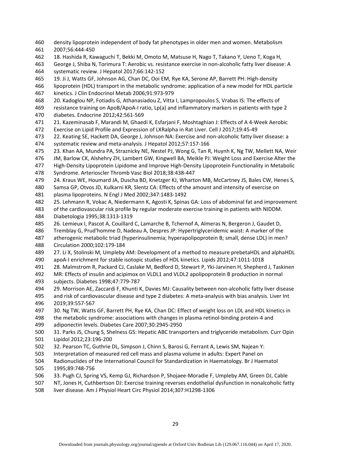- 460 density lipoprotein independent of body fat phenotypes in older men and women. Metabolism
- 461 2007;56:444-450
- 462 18. Hashida R, Kawaguchi T, Bekki M, Omoto M, Matsuse H, Nago T, Takano Y, Ueno T, Koga H,
- 463 George J, Shiba N, Torimura T: Aerobic vs. resistance exercise in non-alcoholic fatty liver disease: A 464 systematic review. J Hepatol 2017;66:142-152
- 465 19. Ji J, Watts GF, Johnson AG, Chan DC, Ooi EM, Rye KA, Serone AP, Barrett PH: High-density
- 466 lipoprotein (HDL) transport in the metabolic syndrome: application of a new model for HDL particle
- 467 kinetics. J Clin Endocrinol Metab 2006;91:973-979
- 468 20. Kadoglou NP, Fotiadis G, Athanasiadou Z, Vitta I, Lampropoulos S, Vrabas IS: The effects of
- 469 resistance training on ApoB/ApoA-I ratio, Lp(a) and inflammatory markers in patients with type 2 470 diabetes. Endocrine 2012;42:561-569
- 471 21. Kazeminasab F, Marandi M, Ghaedi K, Esfarjani F, Moshtaghian J: Effects of A 4-Week Aerobic
- 472 Exercise on Lipid Profile and Expression of LXRalpha in Rat Liver. Cell J 2017;19:45-49
- 473 22. Keating SE, Hackett DA, George J, Johnson NA: Exercise and non-alcoholic fatty liver disease: a 474 systematic review and meta-analysis. J Hepatol 2012;57:157-166
- 475 23. Khan AA, Mundra PA, Straznicky NE, Nestel PJ, Wong G, Tan R, Huynh K, Ng TW, Mellett NA, Weir
- 476 JM, Barlow CK, Alshehry ZH, Lambert GW, Kingwell BA, Meikle PJ: Weight Loss and Exercise Alter the
- 477 High-Density Lipoprotein Lipidome and Improve High-Density Lipoprotein Functionality in Metabolic
- 478 Syndrome. Arterioscler Thromb Vasc Biol 2018;38:438-447
- 479 24. Kraus WE, Houmard JA, Duscha BD, Knetzger KJ, Wharton MB, McCartney JS, Bales CW, Henes S,
- 480 Samsa GP, Otvos JD, Kulkarni KR, Slentz CA: Effects of the amount and intensity of exercise on
- 481 plasma lipoproteins. N Engl J Med 2002;347:1483-1492
- 482 25. Lehmann R, Vokac A, Niedermann K, Agosti K, Spinas GA: Loss of abdominal fat and improvement
- 483 of the cardiovascular risk profile by regular moderate exercise training in patients with NIDDM. 484 Diabetologia 1995;38:1313-1319
- 485 26. Lemieux I, Pascot A, Couillard C, Lamarche B, Tchernof A, Almeras N, Bergeron J, Gaudet D,
- 486 Tremblay G, Prud'homme D, Nadeau A, Despres JP: Hypertriglyceridemic waist: A marker of the
- 487 atherogenic metabolic triad (hyperinsulinemia; hyperapolipoprotein B; small, dense LDL) in men? 488 Circulation 2000;102:179-184
- 489 27. Li X, Stolinski M, Umpleby AM: Development of a method to measure prebetaHDL and alphaHDL
- 490 apoA-I enrichment for stable isotopic studies of HDL kinetics. Lipids 2012;47:1011-1018
- 491 28. Malmstrom R, Packard CJ, Caslake M, Bedford D, Stewart P, Yki-Jarvinen H, Shepherd J, Taskinen
- 492 MR: Effects of insulin and acipimox on VLDL1 and VLDL2 apolipoprotein B production in normal 493 subjects. Diabetes 1998;47:779-787
- 494 29. Morrison AE, Zaccardi F, Khunti K, Davies MJ: Causality between non-alcoholic fatty liver disease
- 495 and risk of cardiovascular disease and type 2 diabetes: A meta-analysis with bias analysis. Liver Int 496 2019;39:557-567
- 497 30. Ng TW, Watts GF, Barrett PH, Rye KA, Chan DC: Effect of weight loss on LDL and HDL kinetics in
- 498 the metabolic syndrome: associations with changes in plasma retinol-binding protein-4 and
- 499 adiponectin levels. Diabetes Care 2007;30:2945-2950
- 500 31. Parks JS, Chung S, Shelness GS: Hepatic ABC transporters and triglyceride metabolism. Curr Opin 501 Lipidol 2012;23:196-200
- 502 32. Pearson TC, Guthrie DL, Simpson J, Chinn S, Barosi G, Ferrant A, Lewis SM, Najean Y:
- 503 Interpretation of measured red cell mass and plasma volume in adults: Expert Panel on
- 504 Radionuclides of the International Council for Standardization in Haematology. Br J Haematol 505 1995;89:748-756
- 506 33. Pugh CJ, Spring VS, Kemp GJ, Richardson P, Shojaee-Moradie F, Umpleby AM, Green DJ, Cable
- 507 NT, Jones H, Cuthbertson DJ: Exercise training reverses endothelial dysfunction in nonalcoholic fatty
- 508 liver disease. Am J Physiol Heart Circ Physiol 2014;307:H1298-1306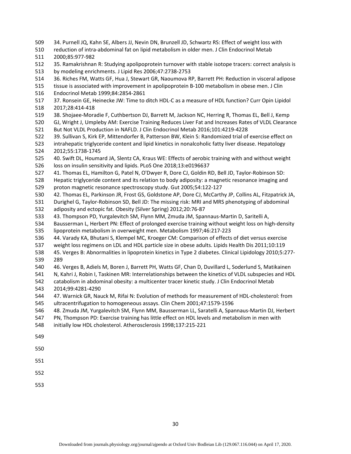- 509 34. Purnell JQ, Kahn SE, Albers JJ, Nevin DN, Brunzell JD, Schwartz RS: Effect of weight loss with
- 510 reduction of intra-abdominal fat on lipid metabolism in older men. J Clin Endocrinol Metab 511 2000;85:977-982
- 512 35. Ramakrishnan R: Studying apolipoprotein turnover with stable isotope tracers: correct analysis is 513 by modeling enrichments. J Lipid Res 2006;47:2738-2753
- 514 36. Riches FM, Watts GF, Hua J, Stewart GR, Naoumova RP, Barrett PH: Reduction in visceral adipose
- 515 tissue is associated with improvement in apolipoprotein B-100 metabolism in obese men. J Clin
- 516 Endocrinol Metab 1999;84:2854-2861
- 517 37. Ronsein GE, Heinecke JW: Time to ditch HDL-C as a measure of HDL function? Curr Opin Lipidol 518 2017;28:414-418
- 519 38. Shojaee-Moradie F, Cuthbertson DJ, Barrett M, Jackson NC, Herring R, Thomas EL, Bell J, Kemp
- 520 GJ, Wright J, Umpleby AM: Exercise Training Reduces Liver Fat and Increases Rates of VLDL Clearance
- 521 But Not VLDL Production in NAFLD. J Clin Endocrinol Metab 2016;101:4219-4228
- 522 39. Sullivan S, Kirk EP, Mittendorfer B, Patterson BW, Klein S: Randomized trial of exercise effect on 523 intrahepatic triglyceride content and lipid kinetics in nonalcoholic fatty liver disease. Hepatology
- 524 2012;55:1738-1745
- 525 40. Swift DL, Houmard JA, Slentz CA, Kraus WE: Effects of aerobic training with and without weight 526 loss on insulin sensitivity and lipids. PLoS One 2018;13:e0196637
- 527 41. Thomas EL, Hamilton G, Patel N, O'Dwyer R, Dore CJ, Goldin RD, Bell JD, Taylor-Robinson SD:
- 528 Hepatic triglyceride content and its relation to body adiposity: a magnetic resonance imaging and 529 proton magnetic resonance spectroscopy study. Gut 2005;54:122-127
- 530 42. Thomas EL, Parkinson JR, Frost GS, Goldstone AP, Dore CJ, McCarthy JP, Collins AL, Fitzpatrick JA,
- 531 Durighel G, Taylor-Robinson SD, Bell JD: The missing risk: MRI and MRS phenotyping of abdominal 532 adiposity and ectopic fat. Obesity (Silver Spring) 2012;20:76-87
- 533 43. Thompson PD, Yurgalevitch SM, Flynn MM, Zmuda JM, Spannaus-Martin D, Saritelli A,
- 534 Bausserman L, Herbert PN: Effect of prolonged exercise training without weight loss on high-density 535 lipoprotein metabolism in overweight men. Metabolism 1997;46:217-223
- 536 44. Varady KA, Bhutani S, Klempel MC, Kroeger CM: Comparison of effects of diet versus exercise
- 537 weight loss regimens on LDL and HDL particle size in obese adults. Lipids Health Dis 2011;10:119
- 538 45. Verges B: Abnormalities in lipoprotein kinetics in Type 2 diabetes. Clinical Lipidology 2010;5:277- 539 289
- 540 46. Verges B, Adiels M, Boren J, Barrett PH, Watts GF, Chan D, Duvillard L, Soderlund S, Matikainen
- 541 N, Kahri J, Robin I, Taskinen MR: Interrelationships between the kinetics of VLDL subspecies and HDL
- 542 catabolism in abdominal obesity: a multicenter tracer kinetic study. J Clin Endocrinol Metab 543 2014;99:4281-4290
- 544 47. Warnick GR, Nauck M, Rifai N: Evolution of methods for measurement of HDL-cholesterol: from
- 545 ultracentrifugation to homogeneous assays. Clin Chem 2001;47:1579-1596
- 546 48. Zmuda JM, Yurgalevitch SM, Flynn MM, Bausserman LL, Saratelli A, Spannaus-Martin DJ, Herbert
- 547 PN, Thompson PD: Exercise training has little effect on HDL levels and metabolism in men with
- 548 initially low HDL cholesterol. Atherosclerosis 1998;137:215-221
- 549
- 550
- 551
- 552
- 553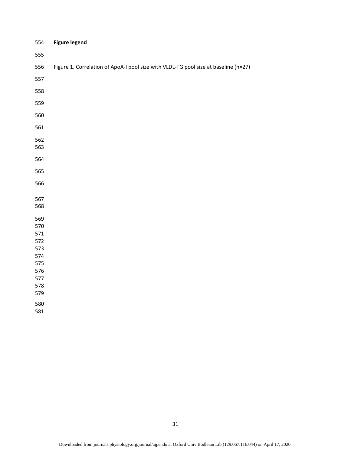| 554        | <b>Figure legend</b>                                                                |
|------------|-------------------------------------------------------------------------------------|
| 555        |                                                                                     |
| 556        | Figure 1. Correlation of ApoA-I pool size with VLDL-TG pool size at baseline (n=27) |
| 557        |                                                                                     |
| 558        |                                                                                     |
| 559        |                                                                                     |
| 560        |                                                                                     |
| 561        |                                                                                     |
| 562        |                                                                                     |
| 563        |                                                                                     |
| 564        |                                                                                     |
| 565        |                                                                                     |
| 566        |                                                                                     |
| 567        |                                                                                     |
| 568        |                                                                                     |
| 569        |                                                                                     |
| 570        |                                                                                     |
| 571<br>572 |                                                                                     |
| 573        |                                                                                     |
| 574        |                                                                                     |
| 575        |                                                                                     |
| 576        |                                                                                     |
| 577        |                                                                                     |
| 578        |                                                                                     |
| 579        |                                                                                     |
| 580        |                                                                                     |
| 581        |                                                                                     |